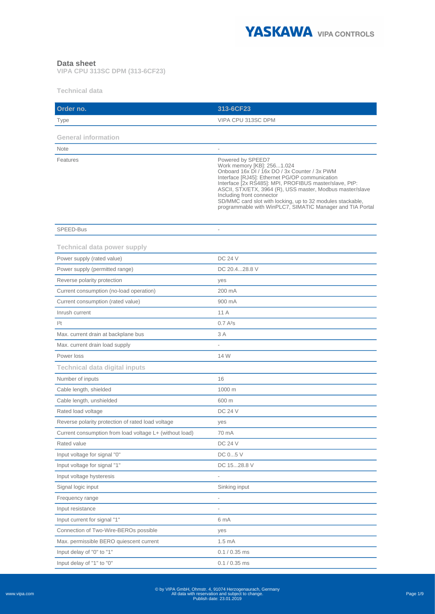

## **Data sheet**

**VIPA CPU 313SC DPM (313-6CF23)**

**Technical data**

| Order no.                                               | 313-6CF23                                                                                                                                                                                                                                                                                                                                                                                                                         |
|---------------------------------------------------------|-----------------------------------------------------------------------------------------------------------------------------------------------------------------------------------------------------------------------------------------------------------------------------------------------------------------------------------------------------------------------------------------------------------------------------------|
| Type                                                    | VIPA CPU 313SC DPM                                                                                                                                                                                                                                                                                                                                                                                                                |
|                                                         |                                                                                                                                                                                                                                                                                                                                                                                                                                   |
| <b>General information</b>                              |                                                                                                                                                                                                                                                                                                                                                                                                                                   |
| <b>Note</b>                                             |                                                                                                                                                                                                                                                                                                                                                                                                                                   |
| Features                                                | Powered by SPEED7<br>Work memory [KB]: 2561.024<br>Onboard 16x DI / 16x DO / 3x Counter / 3x PWM<br>Interface [RJ45]: Ethernet PG/OP communication<br>Interface [2x RS485]: MPI, PROFIBUS master/slave, PtP:<br>ASCII, STX/ETX, 3964 (R), USS master, Modbus master/slave<br>Including front connector<br>SD/MMC card slot with locking, up to 32 modules stackable,<br>programmable with WinPLC7, SIMATIC Manager and TIA Portal |
| SPEED-Bus                                               |                                                                                                                                                                                                                                                                                                                                                                                                                                   |
|                                                         |                                                                                                                                                                                                                                                                                                                                                                                                                                   |
| <b>Technical data power supply</b>                      |                                                                                                                                                                                                                                                                                                                                                                                                                                   |
| Power supply (rated value)                              | <b>DC 24 V</b>                                                                                                                                                                                                                                                                                                                                                                                                                    |
| Power supply (permitted range)                          | DC 20.428.8 V                                                                                                                                                                                                                                                                                                                                                                                                                     |
| Reverse polarity protection                             | yes                                                                                                                                                                                                                                                                                                                                                                                                                               |
| Current consumption (no-load operation)                 | 200 mA                                                                                                                                                                                                                                                                                                                                                                                                                            |
| Current consumption (rated value)                       | 900 mA                                                                                                                                                                                                                                                                                                                                                                                                                            |
| Inrush current                                          | 11 A                                                                                                                                                                                                                                                                                                                                                                                                                              |
| 2t                                                      | 0.7A <sup>2</sup> S                                                                                                                                                                                                                                                                                                                                                                                                               |
| Max. current drain at backplane bus                     | 3 A                                                                                                                                                                                                                                                                                                                                                                                                                               |
| Max. current drain load supply                          |                                                                                                                                                                                                                                                                                                                                                                                                                                   |
| Power loss                                              | 14 W                                                                                                                                                                                                                                                                                                                                                                                                                              |
| <b>Technical data digital inputs</b>                    |                                                                                                                                                                                                                                                                                                                                                                                                                                   |
| Number of inputs                                        | 16                                                                                                                                                                                                                                                                                                                                                                                                                                |
| Cable length, shielded                                  | 1000 m                                                                                                                                                                                                                                                                                                                                                                                                                            |
| Cable length, unshielded                                | 600 m                                                                                                                                                                                                                                                                                                                                                                                                                             |
| Rated load voltage                                      | <b>DC 24 V</b>                                                                                                                                                                                                                                                                                                                                                                                                                    |
| Reverse polarity protection of rated load voltage       | yes                                                                                                                                                                                                                                                                                                                                                                                                                               |
| Current consumption from load voltage L+ (without load) | 70 mA                                                                                                                                                                                                                                                                                                                                                                                                                             |
| Rated value                                             | <b>DC 24 V</b>                                                                                                                                                                                                                                                                                                                                                                                                                    |
| Input voltage for signal "0"                            | DC 05 V                                                                                                                                                                                                                                                                                                                                                                                                                           |
| Input voltage for signal "1"                            | DC 1528.8 V                                                                                                                                                                                                                                                                                                                                                                                                                       |
| Input voltage hysteresis                                |                                                                                                                                                                                                                                                                                                                                                                                                                                   |
| Signal logic input                                      | Sinking input                                                                                                                                                                                                                                                                                                                                                                                                                     |
| Frequency range                                         |                                                                                                                                                                                                                                                                                                                                                                                                                                   |
| Input resistance                                        |                                                                                                                                                                                                                                                                                                                                                                                                                                   |
| Input current for signal "1"                            | 6 mA                                                                                                                                                                                                                                                                                                                                                                                                                              |
| Connection of Two-Wire-BEROs possible                   | yes                                                                                                                                                                                                                                                                                                                                                                                                                               |
| Max. permissible BERO quiescent current                 | 1.5 <sub>mA</sub>                                                                                                                                                                                                                                                                                                                                                                                                                 |
| Input delay of "0" to "1"                               | $0.1 / 0.35$ ms                                                                                                                                                                                                                                                                                                                                                                                                                   |
| Input delay of "1" to "0"                               | $0.1 / 0.35$ ms                                                                                                                                                                                                                                                                                                                                                                                                                   |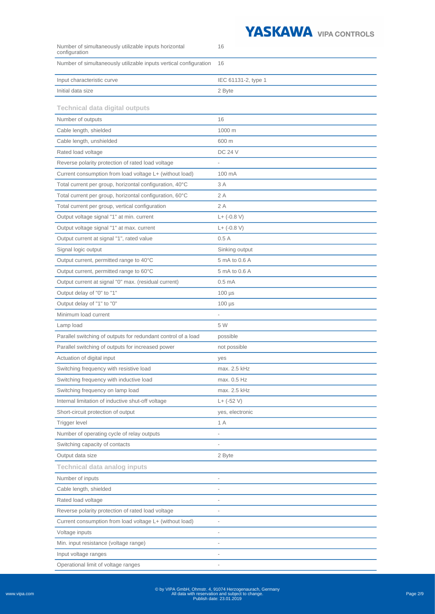

| Number of simultaneously utilizable inputs horizontal<br>configuration | 16                       |
|------------------------------------------------------------------------|--------------------------|
| Number of simultaneously utilizable inputs vertical configuration      | 16                       |
| Input characteristic curve                                             | IEC 61131-2, type 1      |
| Initial data size                                                      | 2 Byte                   |
| <b>Technical data digital outputs</b>                                  |                          |
| Number of outputs                                                      | 16                       |
| Cable length, shielded                                                 | 1000 m                   |
| Cable length, unshielded                                               | 600 m                    |
| Rated load voltage                                                     | <b>DC 24 V</b>           |
| Reverse polarity protection of rated load voltage                      |                          |
| Current consumption from load voltage L+ (without load)                | 100 mA                   |
| Total current per group, horizontal configuration, 40°C                | 3 A                      |
| Total current per group, horizontal configuration, 60°C                | 2 A                      |
| Total current per group, vertical configuration                        | 2A                       |
| Output voltage signal "1" at min. current                              | $L+ (-0.8 V)$            |
| Output voltage signal "1" at max. current                              | $L+ (-0.8 V)$            |
| Output current at signal "1", rated value                              | 0.5A                     |
| Signal logic output                                                    | Sinking output           |
| Output current, permitted range to 40°C                                | 5 mA to 0.6 A            |
| Output current, permitted range to 60°C                                | 5 mA to 0.6 A            |
| Output current at signal "0" max. (residual current)                   | 0.5 <sub>mA</sub>        |
| Output delay of "0" to "1"                                             | $100 \mu s$              |
| Output delay of "1" to "0"                                             | $100 \mu s$              |
| Minimum load current                                                   | $\overline{a}$           |
| Lamp load                                                              | 5 W                      |
| Parallel switching of outputs for redundant control of a load          | possible                 |
| Parallel switching of outputs for increased power                      | not possible             |
| Actuation of digital input                                             | yes                      |
| Switching frequency with resistive load                                | max. 2.5 kHz             |
| Switching frequency with inductive load                                | max. 0.5 Hz              |
| Switching frequency on lamp load                                       | max. 2.5 kHz             |
| Internal limitation of inductive shut-off voltage                      | $L+$ (-52 V)             |
| Short-circuit protection of output                                     | yes, electronic          |
| Trigger level                                                          | 1 A                      |
| Number of operating cycle of relay outputs                             |                          |
| Switching capacity of contacts                                         |                          |
| Output data size                                                       | 2 Byte                   |
| <b>Technical data analog inputs</b>                                    |                          |
| Number of inputs                                                       |                          |
| Cable length, shielded                                                 |                          |
| Rated load voltage                                                     |                          |
| Reverse polarity protection of rated load voltage                      | $\overline{\phantom{0}}$ |
| Current consumption from load voltage L+ (without load)                | $\overline{\phantom{0}}$ |
| Voltage inputs                                                         | $\overline{\phantom{0}}$ |
| Min. input resistance (voltage range)                                  | $\overline{a}$           |
| Input voltage ranges                                                   | $\overline{\phantom{0}}$ |

Operational limit of voltage ranges -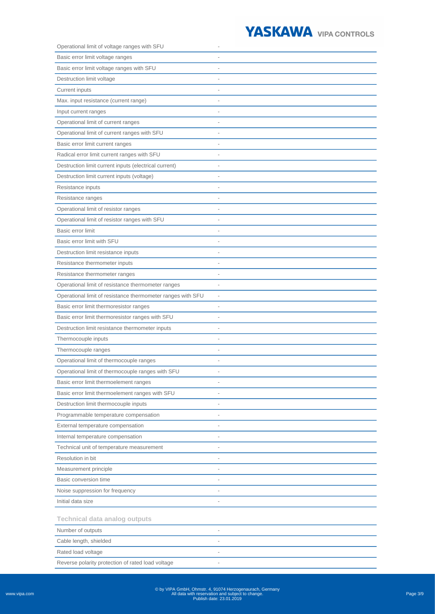

| Operational limit of voltage ranges with SFU                |                          |
|-------------------------------------------------------------|--------------------------|
| Basic error limit voltage ranges                            |                          |
| Basic error limit voltage ranges with SFU                   |                          |
| Destruction limit voltage                                   |                          |
| Current inputs                                              |                          |
| Max. input resistance (current range)                       |                          |
| Input current ranges                                        |                          |
| Operational limit of current ranges                         |                          |
| Operational limit of current ranges with SFU                |                          |
| Basic error limit current ranges                            |                          |
| Radical error limit current ranges with SFU                 |                          |
| Destruction limit current inputs (electrical current)       | ÷,                       |
| Destruction limit current inputs (voltage)                  |                          |
| Resistance inputs                                           |                          |
| Resistance ranges                                           |                          |
| Operational limit of resistor ranges                        |                          |
| Operational limit of resistor ranges with SFU               |                          |
| Basic error limit                                           |                          |
| Basic error limit with SFU                                  |                          |
| Destruction limit resistance inputs                         | $\overline{a}$           |
| Resistance thermometer inputs                               | $\overline{\phantom{a}}$ |
| Resistance thermometer ranges                               |                          |
| Operational limit of resistance thermometer ranges          |                          |
| Operational limit of resistance thermometer ranges with SFU | $\overline{\phantom{0}}$ |
| Basic error limit thermoresistor ranges                     | $\overline{a}$           |
| Basic error limit thermoresistor ranges with SFU            |                          |
| Destruction limit resistance thermometer inputs             |                          |
| Thermocouple inputs                                         |                          |
| Thermocouple ranges                                         |                          |
| Operational limit of thermocouple ranges                    |                          |
| Operational limit of thermocouple ranges with SFU           |                          |
| Basic error limit thermoelement ranges                      | $\overline{\phantom{a}}$ |
| Basic error limit thermoelement ranges with SFU             | $\overline{\phantom{0}}$ |
| Destruction limit thermocouple inputs                       | $\overline{a}$           |
| Programmable temperature compensation                       | $\overline{a}$           |
| External temperature compensation                           | $\overline{\phantom{0}}$ |
| Internal temperature compensation                           |                          |
| Technical unit of temperature measurement                   |                          |
| Resolution in bit                                           | $\overline{\phantom{0}}$ |
| Measurement principle                                       | $\overline{\phantom{0}}$ |
| Basic conversion time                                       | $\overline{\phantom{0}}$ |
| Noise suppression for frequency                             | $\overline{a}$           |
| Initial data size                                           | $\overline{\phantom{0}}$ |
| <b>Technical data analog outputs</b>                        |                          |
| Number of outputs                                           |                          |
| Cable length, shielded                                      |                          |
| Rated load voltage                                          | $\overline{a}$           |
| Reverse polarity protection of rated load voltage           | $\overline{\phantom{0}}$ |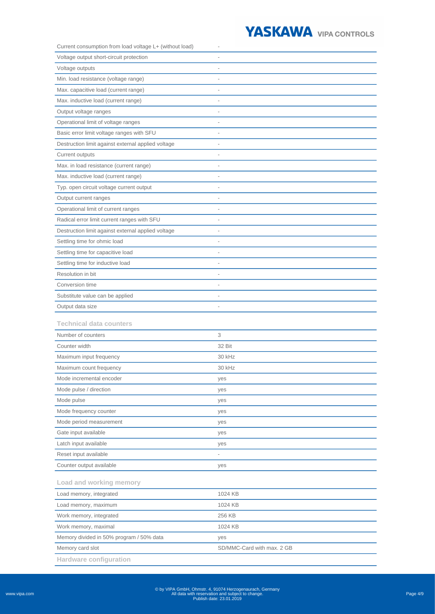

| Current consumption from load voltage L+ (without load) |                            |
|---------------------------------------------------------|----------------------------|
| Voltage output short-circuit protection                 |                            |
| Voltage outputs                                         |                            |
| Min. load resistance (voltage range)                    | $\overline{a}$             |
| Max. capacitive load (current range)                    |                            |
| Max. inductive load (current range)                     |                            |
| Output voltage ranges                                   |                            |
| Operational limit of voltage ranges                     | $\overline{\phantom{0}}$   |
| Basic error limit voltage ranges with SFU               |                            |
| Destruction limit against external applied voltage      |                            |
| Current outputs                                         |                            |
| Max. in load resistance (current range)                 | $\overline{\phantom{0}}$   |
| Max. inductive load (current range)                     |                            |
| Typ. open circuit voltage current output                |                            |
| Output current ranges                                   |                            |
| Operational limit of current ranges                     | $\overline{\phantom{0}}$   |
| Radical error limit current ranges with SFU             | $\overline{a}$             |
| Destruction limit against external applied voltage      |                            |
| Settling time for ohmic load                            |                            |
| Settling time for capacitive load                       |                            |
| Settling time for inductive load                        |                            |
| Resolution in bit                                       |                            |
| Conversion time                                         |                            |
| Substitute value can be applied                         |                            |
| Output data size                                        |                            |
| <b>Technical data counters</b>                          |                            |
| Number of counters                                      | 3                          |
| Counter width                                           | 32 Bit                     |
| Maximum input frequency                                 | 30 kHz                     |
| Maximum count frequency                                 | 30 kHz                     |
| Mode incremental encoder                                | yes                        |
| Mode pulse / direction                                  | yes                        |
| Mode pulse                                              |                            |
|                                                         | yes                        |
| Mode frequency counter                                  | yes                        |
| Mode period measurement                                 | yes                        |
| Gate input available                                    | yes                        |
| Latch input available                                   | yes                        |
| Reset input available                                   |                            |
| Counter output available                                | yes                        |
| Load and working memory                                 |                            |
| Load memory, integrated                                 | 1024 KB                    |
| Load memory, maximum                                    | 1024 KB                    |
| Work memory, integrated                                 | 256 KB                     |
| Work memory, maximal                                    | 1024 KB                    |
| Memory divided in 50% program / 50% data                | yes                        |
| Memory card slot                                        | SD/MMC-Card with max. 2 GB |

<sup>©</sup> by VIPA GmbH, Ohmstr. 4, 91074 Herzogenaurach, Germany All data with reservation and subject to change. Publish date: 23.01.2019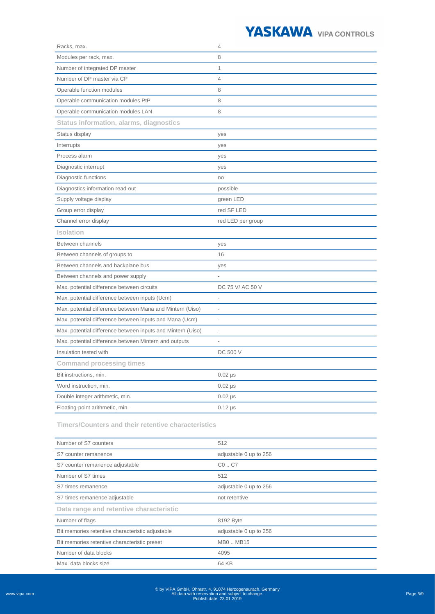## YASKAWA VIPA CONTROLS

| Racks, max.                                                 | 4                 |
|-------------------------------------------------------------|-------------------|
| Modules per rack, max.                                      | 8                 |
| Number of integrated DP master                              | $\mathbf{1}$      |
| Number of DP master via CP                                  | $\overline{4}$    |
| Operable function modules                                   | 8                 |
| Operable communication modules PtP                          | 8                 |
| Operable communication modules LAN                          | 8                 |
| <b>Status information, alarms, diagnostics</b>              |                   |
| Status display                                              | yes               |
| Interrupts                                                  | yes               |
| Process alarm                                               | yes               |
| Diagnostic interrupt                                        | yes               |
| Diagnostic functions                                        | no                |
| Diagnostics information read-out                            | possible          |
| Supply voltage display                                      | green LED         |
| Group error display                                         | red SF LED        |
| Channel error display                                       | red LED per group |
| <b>Isolation</b>                                            |                   |
| Between channels                                            | yes               |
| Between channels of groups to                               | 16                |
| Between channels and backplane bus                          | yes               |
| Between channels and power supply                           |                   |
| Max. potential difference between circuits                  | DC 75 V/ AC 50 V  |
| Max. potential difference between inputs (Ucm)              | L,                |
| Max. potential difference between Mana and Mintern (Uiso)   | $\overline{a}$    |
| Max. potential difference between inputs and Mana (Ucm)     |                   |
| Max. potential difference between inputs and Mintern (Uiso) |                   |
| Max. potential difference between Mintern and outputs       |                   |
| Insulation tested with                                      | DC 500 V          |
| <b>Command processing times</b>                             |                   |
| Bit instructions, min.                                      | $0.02$ $\mu s$    |
| Word instruction, min.                                      | $0.02$ $\mu s$    |
| Double integer arithmetic, min.                             | $0.02$ $\mu s$    |
| Floating-point arithmetic, min.                             | $0.12 \,\mu s$    |

**Timers/Counters and their retentive characteristics**

| Number of S7 counters                            | 512                    |
|--------------------------------------------------|------------------------|
| S7 counter remanence                             | adjustable 0 up to 256 |
| S7 counter remanence adjustable                  | $CO.$ C7               |
| Number of S7 times                               | 512                    |
| S7 times remanence                               | adjustable 0 up to 256 |
| S7 times remanence adjustable                    | not retentive          |
| Data range and retentive characteristic          |                        |
| Number of flags                                  | 8192 Byte              |
| Bit memories retentive characteristic adjustable | adjustable 0 up to 256 |
| Bit memories retentive characteristic preset     | MB0  MB15              |
| Number of data blocks                            | 4095                   |
| Max. data blocks size                            | 64 KB                  |

© by VIPA GmbH, Ohmstr. 4, 91074 Herzogenaurach, Germany All data with reservation and subject to change. Publish date: 23.01.2019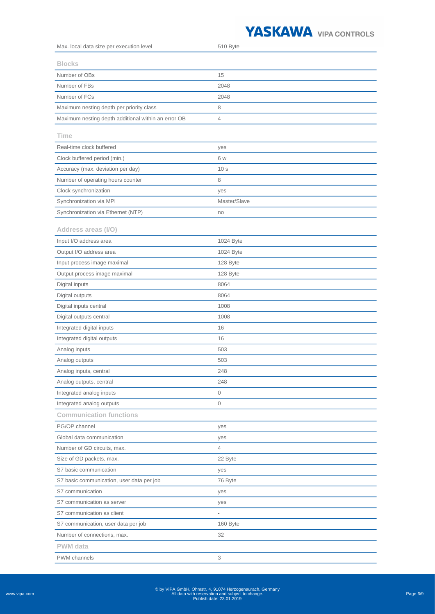## YASKAWA VIPA CONTROLS

| Max. local data size per execution level            | 510 Byte        |
|-----------------------------------------------------|-----------------|
| <b>Blocks</b>                                       |                 |
| Number of OBs                                       | 15              |
| Number of FBs                                       | 2048            |
| Number of FCs                                       | 2048            |
| Maximum nesting depth per priority class            | 8               |
| Maximum nesting depth additional within an error OB | 4               |
|                                                     |                 |
| Time                                                |                 |
| Real-time clock buffered                            | yes             |
| Clock buffered period (min.)                        | 6 w             |
| Accuracy (max. deviation per day)                   | 10 <sub>s</sub> |
| Number of operating hours counter                   | 8               |
| Clock synchronization                               | yes             |
| Synchronization via MPI                             | Master/Slave    |
| Synchronization via Ethernet (NTP)                  | no              |
| Address areas (I/O)                                 |                 |
| Input I/O address area                              | 1024 Byte       |
| Output I/O address area                             | 1024 Byte       |
| Input process image maximal                         | 128 Byte        |
| Output process image maximal                        | 128 Byte        |
| Digital inputs                                      | 8064            |
| Digital outputs                                     | 8064            |
| Digital inputs central                              | 1008            |
| Digital outputs central                             | 1008            |
| Integrated digital inputs                           | 16              |
| Integrated digital outputs                          | 16              |
| Analog inputs                                       | 503             |
| Analog outputs                                      | 503             |
| Analog inputs, central                              | 248             |
| Analog outputs, central                             | 248             |
| Integrated analog inputs                            | 0               |
| Integrated analog outputs                           | 0               |
| <b>Communication functions</b>                      |                 |
| PG/OP channel                                       | yes             |
| Global data communication                           | yes             |
| Number of GD circuits, max.                         | 4               |
| Size of GD packets, max.                            | 22 Byte         |
| S7 basic communication                              | yes             |
| S7 basic communication, user data per job           | 76 Byte         |
| S7 communication                                    | yes             |
| S7 communication as server                          | yes             |
| S7 communication as client                          |                 |
| S7 communication, user data per job                 | 160 Byte        |
| Number of connections, max.                         | 32              |
| <b>PWM</b> data                                     |                 |
| <b>PWM</b> channels                                 | 3               |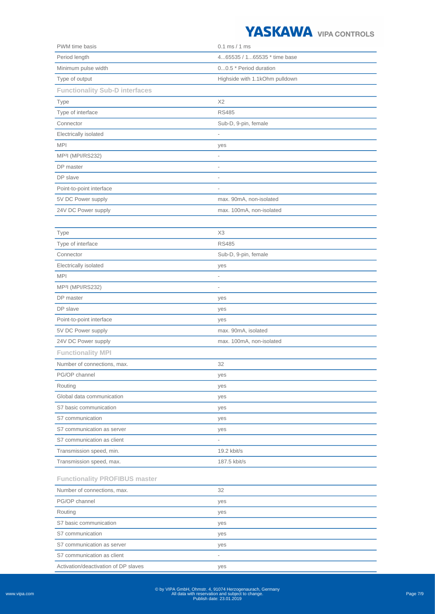

| PWM time basis                        | $0.1$ ms $/ 1$ ms              |
|---------------------------------------|--------------------------------|
| Period length                         | 465535 / 165535 * time base    |
| Minimum pulse width                   | 00.5 * Period duration         |
| Type of output                        | Highside with 1.1kOhm pulldown |
| <b>Functionality Sub-D interfaces</b> |                                |
| Type                                  | X <sub>2</sub>                 |
| Type of interface                     | <b>RS485</b>                   |
| Connector                             | Sub-D, 9-pin, female           |
| Electrically isolated                 |                                |
| <b>MPI</b>                            | yes                            |
| MP <sup>2</sup> l (MPI/RS232)         | $\overline{\phantom{0}}$       |
| DP master                             | $\overline{\phantom{a}}$       |
| DP slave                              | ä,                             |
| Point-to-point interface              | $\overline{\phantom{a}}$       |
| 5V DC Power supply                    | max. 90mA, non-isolated        |
| 24V DC Power supply                   | max. 100mA, non-isolated       |
|                                       |                                |
| Type                                  | X3                             |
| Type of interface                     | <b>RS485</b>                   |
| Connector                             | Sub-D, 9-pin, female           |
| Electrically isolated                 | yes                            |
| <b>MPI</b>                            | i,                             |
| MP <sup>2</sup> l (MPI/RS232)         | $\qquad \qquad -$              |
| DP master                             | yes                            |
| DP slave                              | yes                            |
| Point-to-point interface              | yes                            |
| 5V DC Power supply                    | max. 90mA, isolated            |
| 24V DC Power supply                   | max. 100mA, non-isolated       |
| <b>Functionality MPI</b>              |                                |
| Number of connections, max.           | 32                             |
|                                       |                                |
| PG/OP channel                         | yes                            |
| Routing                               | yes                            |
| Global data communication             | yes                            |
| S7 basic communication                | yes                            |
| S7 communication                      | yes                            |
| S7 communication as server            | yes                            |
| S7 communication as client            | $\overline{\phantom{a}}$       |
| Transmission speed, min.              | 19.2 kbit/s                    |
| Transmission speed, max.              | 187.5 kbit/s                   |
| <b>Functionality PROFIBUS master</b>  |                                |
| Number of connections, max.           | 32                             |
| PG/OP channel                         | yes                            |
| Routing                               | yes                            |
| S7 basic communication                | yes                            |
| S7 communication                      | yes                            |
| S7 communication as server            | yes                            |
| S7 communication as client            |                                |
| Activation/deactivation of DP slaves  | yes                            |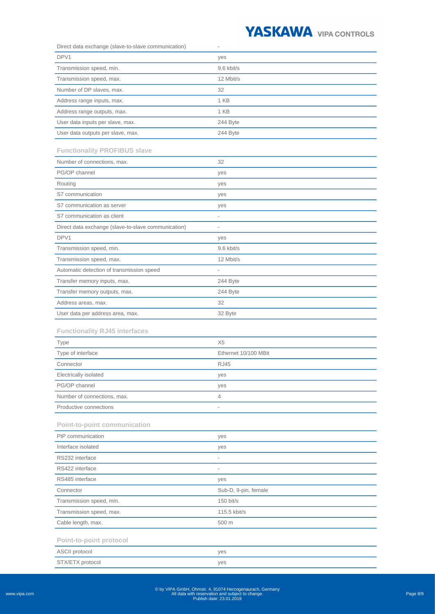

| Direct data exchange (slave-to-slave communication) | $\overline{\phantom{0}}$ |
|-----------------------------------------------------|--------------------------|
| DPV1                                                | yes                      |
| Transmission speed, min.                            | 9.6 kbit/s               |
| Transmission speed, max.                            | 12 Mbit/s                |
| Number of DP slaves, max.                           | 32                       |
| Address range inputs, max.                          | 1 KB                     |
| Address range outputs, max.                         | 1 KB                     |
| User data inputs per slave, max.                    | 244 Byte                 |
| User data outputs per slave, max.                   | 244 Byte                 |
|                                                     |                          |
| <b>Functionality PROFIBUS slave</b>                 |                          |
| Number of connections, max.                         | 32                       |
| PG/OP channel                                       | yes                      |
| Routing                                             | yes                      |
| S7 communication                                    | yes                      |
| S7 communication as server                          | yes                      |
| S7 communication as client                          | $\overline{a}$           |
| Direct data exchange (slave-to-slave communication) | $\overline{\phantom{a}}$ |
| DPV1                                                | yes                      |
| Transmission speed, min.                            | 9.6 kbit/s               |
| Transmission speed, max.                            | 12 Mbit/s                |
| Automatic detection of transmission speed           | $\overline{\phantom{0}}$ |
| Transfer memory inputs, max.                        | 244 Byte                 |
| Transfer memory outputs, max.                       | 244 Byte                 |
| Address areas, max.                                 | 32                       |
| User data per address area, max.                    | 32 Byte                  |
| <b>Functionality RJ45 interfaces</b>                |                          |
| <b>Type</b>                                         | X <sub>5</sub>           |
| Type of interface                                   | Ethernet 10/100 MBit     |
| Connector                                           | <b>RJ45</b>              |
| Electrically isolated                               | yes                      |
| PG/OP channel                                       | yes                      |
| Number of connections, max.                         | 4                        |
| Productive connections                              | $\overline{\phantom{a}}$ |
| <b>Point-to-point communication</b>                 |                          |
| PtP communication                                   | yes                      |
| Interface isolated                                  | yes                      |
| RS232 interface                                     | $\overline{\phantom{a}}$ |
| RS422 interface                                     | $\overline{\phantom{a}}$ |
| RS485 interface                                     | yes                      |
| Connector                                           | Sub-D, 9-pin, female     |
| Transmission speed, min.                            | $150$ bit/s              |
| Transmission speed, max.                            | 115.5 kbit/s             |
| Cable length, max.                                  | 500 m                    |
|                                                     |                          |
| Point-to-point protocol                             |                          |
| <b>ASCII</b> protocol                               | yes                      |
| STX/ETX protocol                                    | yes                      |